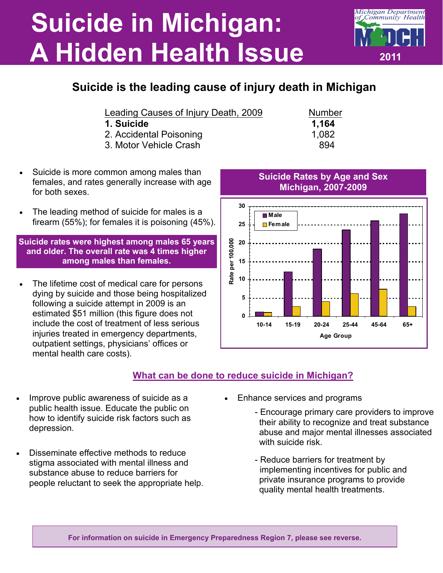## **Suicide in Michigan: A Hidden Health Issue**



| Leading Causes of Injury Death, 2009 |  | <b>Number</b> |
|--------------------------------------|--|---------------|
|                                      |  |               |

- **1. Suicide 1,164**
- 2. Accidental Poisoning 1,082
- 3. Motor Vehicle Crash 894
- Suicide is more common among males than females, and rates generally increase with age for both sexes.
- The leading method of suicide for males is a firearm (55%); for females it is poisoning (45%).

**Suicide rates were highest among males 65 years and older. The overall rate was 4 times higher among males than females.** 

 The lifetime cost of medical care for persons dying by suicide and those being hospitalized following a suicide attempt in 2009 is an estimated \$51 million (this figure does not include the cost of treatment of less serious injuries treated in emergency departments, outpatient settings, physicians' offices or mental health care costs).



**What can be done to reduce suicide in Michigan?** 

- Improve public awareness of suicide as a public health issue. Educate the public on how to identify suicide risk factors such as depression.
- Disseminate effective methods to reduce stigma associated with mental illness and substance abuse to reduce barriers for people reluctant to seek the appropriate help.
- abuse and major mental illnesses associated with suicide risk - Reduce barriers for treatment by

 - Encourage primary care providers to improve their ability to recognize and treat substance

 implementing incentives for public and private insurance programs to provide quality mental health treatments.





## **Suicide Rates by Age and Sex Michigan, 2007-2009**

**2011** 

**Michigan Department** Community Health

**For information on suicide in Emergency Preparedness Region 7, please see reverse.**